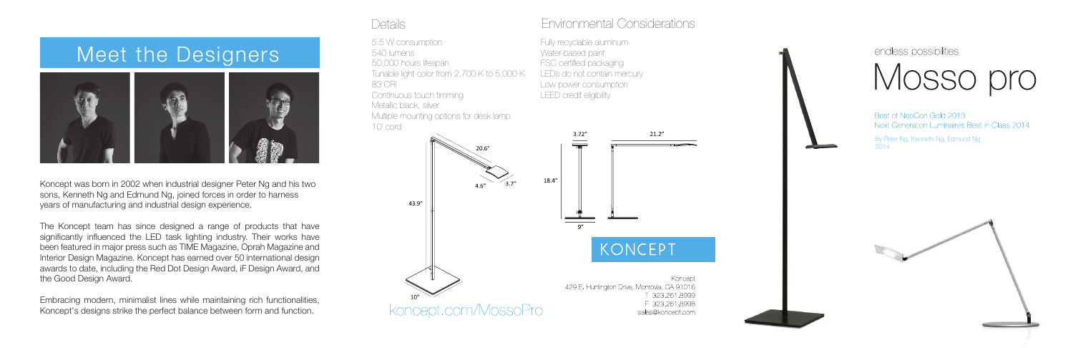Koncept was born in 2002 when industrial designer Peter Ng and his two sons, Kenneth Ng and Edmund Ng, joined forces in order to harness years of manufacturing and industrial design experience.

The Koncept team has since designed a range of products that have significantly influenced the LED task lighting industry. Their works have been featured in major press such as TIME Magazine, Oprah Magazine and Interior Design Magazine. Koncept has earned over 50 international design awards to date, including the Red Dot Design Award, iF Design Award, and the Good Design Award.

Fully recyclable aluminum Water-based paint FSC certified packaging LEDs do not contain mercury Low power consumption LEED credit eligibility



endless possibilities Mosso pro

Best of NeoCon Gold 2013 Next Generation Luminaires Best in Class 2014

Embracing modern, minimalist lines while maintaining rich functionalities, Koncept's designs strike the perfect balance between form and function.

# Meet the Designers



By Peter Ng, Kenneth Ng, Edmund Ng 2014



5.5 W consumption 540 lumens 50,000 hours lifespan Tunable light color from 2,700 K to 5,000 K 83 CRI Continuous touch timming Metallic black, silver Multiple mounting options for desk lamp 10' cord

### Details Environmental Considerations